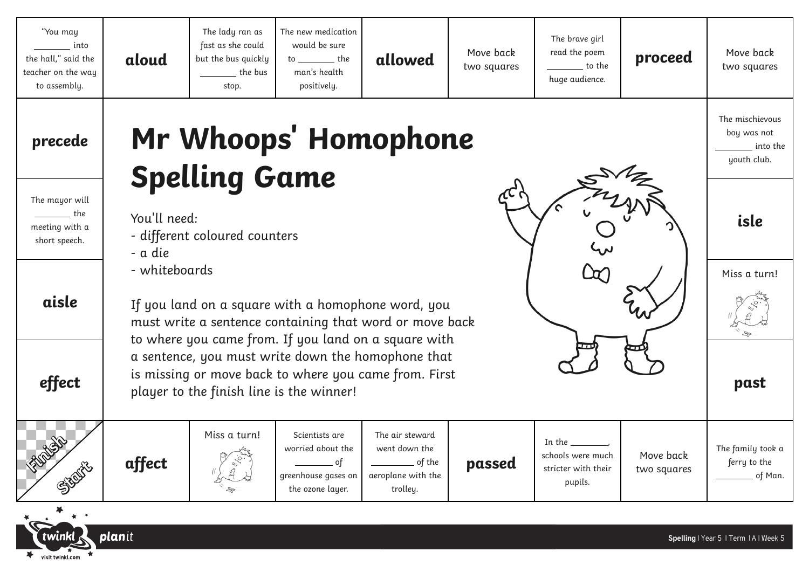| "You may<br>into<br>the hall," said the<br>teacher on the way<br>to assembly. | aloud                                                                                                                                                                                                                                                                                                                                                                                                         | The lady ran as<br>fast as she could<br>but the bus quickly<br>the bus<br>stop. | The new medication<br>would be sure<br>$to$ ____________ the<br>man's health<br>positively.               | allowed                                                                                           | Move back<br>two squares | The brave girl<br>read the poem<br>to the<br>huge audience.                       | proceed                  | Move back<br>two squares                                  |
|-------------------------------------------------------------------------------|---------------------------------------------------------------------------------------------------------------------------------------------------------------------------------------------------------------------------------------------------------------------------------------------------------------------------------------------------------------------------------------------------------------|---------------------------------------------------------------------------------|-----------------------------------------------------------------------------------------------------------|---------------------------------------------------------------------------------------------------|--------------------------|-----------------------------------------------------------------------------------|--------------------------|-----------------------------------------------------------|
| precede                                                                       | Mr Whoops' Homophone<br><b>Spelling Game</b>                                                                                                                                                                                                                                                                                                                                                                  |                                                                                 |                                                                                                           |                                                                                                   |                          |                                                                                   |                          | The mischievous<br>boy was not<br>into the<br>youth club. |
| The mayor will<br>$\rule{1em}{0.15mm}$ the<br>meeting with a<br>short speech. | You'll need:<br>- different coloured counters<br>- a die<br>- whiteboards<br>If you land on a square with a homophone word, you<br>must write a sentence containing that word or move back<br>to where you came from. If you land on a square with<br>a sentence, you must write down the homophone that<br>is missing or move back to where you came from. First<br>player to the finish line is the winner! |                                                                                 |                                                                                                           |                                                                                                   |                          |                                                                                   |                          | isle                                                      |
| aisle                                                                         |                                                                                                                                                                                                                                                                                                                                                                                                               |                                                                                 |                                                                                                           |                                                                                                   |                          |                                                                                   |                          | Miss a turn!                                              |
| effect                                                                        |                                                                                                                                                                                                                                                                                                                                                                                                               |                                                                                 |                                                                                                           |                                                                                                   |                          |                                                                                   |                          | past                                                      |
|                                                                               | affect                                                                                                                                                                                                                                                                                                                                                                                                        | Miss a turn!                                                                    | Scientists are<br>worried about the<br>$\rule{1em}{0.15mm}$ of<br>greenhouse gases on<br>the ozone layer. | The air steward<br>went down the<br>$\rule{1em}{0.15mm}$ of the<br>aeroplane with the<br>trolley. | passed                   | In the $\_\_\_\_\_\_\_\_\$<br>schools were much<br>stricter with their<br>pupils. | Move back<br>two squares | The family took a<br>ferry to the<br>of Man.              |